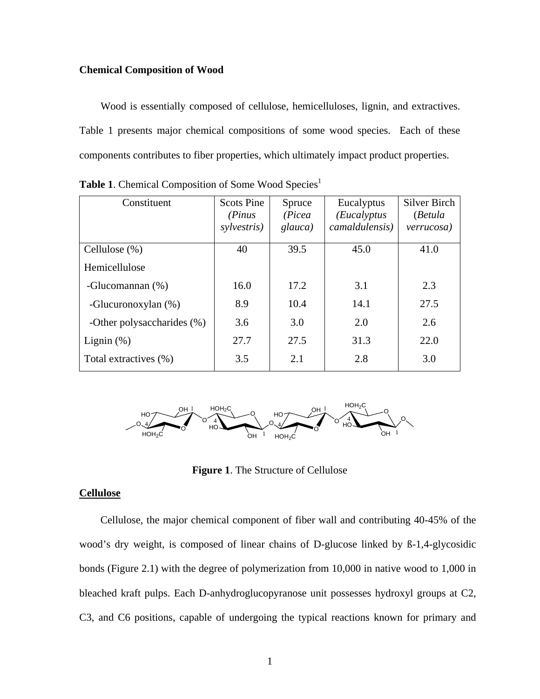#### **Chemical Composition of Wood**

 Wood is essentially composed of cellulose, hemicelluloses, lignin, and extractives. Table 1 presents major chemical compositions of some wood species. Each of these components contributes to fiber properties, which ultimately impact product properties.

| Constituent                | <b>Scots Pine</b><br>(Pinus)<br>sylvestris) | Spruce<br>(Picea<br>glauca) | Eucalyptus<br>(Eucalyptus<br>camaldulensis) | Silver Birch<br>(Betula<br>verrucosa) |
|----------------------------|---------------------------------------------|-----------------------------|---------------------------------------------|---------------------------------------|
| Cellulose (%)              | 40                                          | 39.5                        | 45.0                                        | 41.0                                  |
| Hemicellulose              |                                             |                             |                                             |                                       |
| -Glucomannan $(\%)$        | 16.0                                        | 17.2                        | 3.1                                         | 2.3                                   |
| -Glucuronoxylan (%)        | 8.9                                         | 10.4                        | 14.1                                        | 27.5                                  |
| -Other polysaccharides (%) | 3.6                                         | 3.0                         | 2.0                                         | 2.6                                   |
| Lignin $(\%)$              | 27.7                                        | 27.5                        | 31.3                                        | 22.0                                  |
| Total extractives (%)      | 3.5                                         | 2.1                         | 2.8                                         | 3.0                                   |

Table 1. Chemical Composition of Some Wood Species<sup>1</sup>



**Figure 1**. The Structure of Cellulose

#### **Cellulose**

 Cellulose, the major chemical component of fiber wall and contributing 40-45% of the wood's dry weight, is composed of linear chains of D-glucose linked by  $\beta$ -1,4-glycosidic bonds (Figure 2.1) with the degree of polymerization from 10,000 in native wood to 1,000 in bleached kraft pulps. Each D-anhydroglucopyranose unit possesses hydroxyl groups at C2, C3, and C6 positions, capable of undergoing the typical reactions known for primary and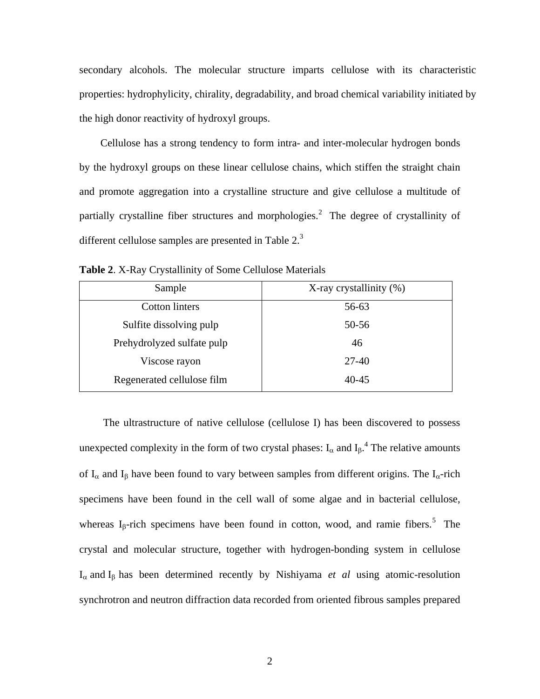secondary alcohols. The molecular structure imparts cellulose with its characteristic properties: hydrophylicity, chirality, degradability, and broad chemical variability initiated by the high donor reactivity of hydroxyl groups.

 Cellulose has a strong tendency to form intra- and inter-molecular hydrogen bonds by the hydroxyl groups on these linear cellulose chains, which stiffen the straight chain and promote aggregation into a crystalline structure and give cellulose a multitude of partially crystalline fiber structures and morphologies.<sup>2</sup> The degree of crystallinity of different cellulose samples are presented in Table  $2<sup>3</sup>$ 

| Sample                     | X-ray crystallinity (%) |  |  |
|----------------------------|-------------------------|--|--|
| <b>Cotton linters</b>      | 56-63                   |  |  |
| Sulfite dissolving pulp    | 50-56                   |  |  |
| Prehydrolyzed sulfate pulp | 46                      |  |  |
| Viscose rayon              | $27 - 40$               |  |  |
| Regenerated cellulose film | 40-45                   |  |  |

**Table 2**. X-Ray Crystallinity of Some Cellulose Materials

 The ultrastructure of native cellulose (cellulose I) has been discovered to possess unexpected complexity in the form of two crystal phases:  $I_{\alpha}$  and  $I_{\beta}$ .<sup>4</sup> The relative amounts of  $I_\alpha$  and  $I_\beta$  have been found to vary between samples from different origins. The  $I_\alpha$ -rich specimens have been found in the cell wall of some algae and in bacterial cellulose, whereas I<sub>β</sub>-rich specimens have been found in cotton, wood, and ramie fibers.<sup>5</sup> The crystal and molecular structure, together with hydrogen-bonding system in cellulose I<sup>α</sup> and Ιβ has been determined recently by Nishiyama *et al* using atomic-resolution synchrotron and neutron diffraction data recorded from oriented fibrous samples prepared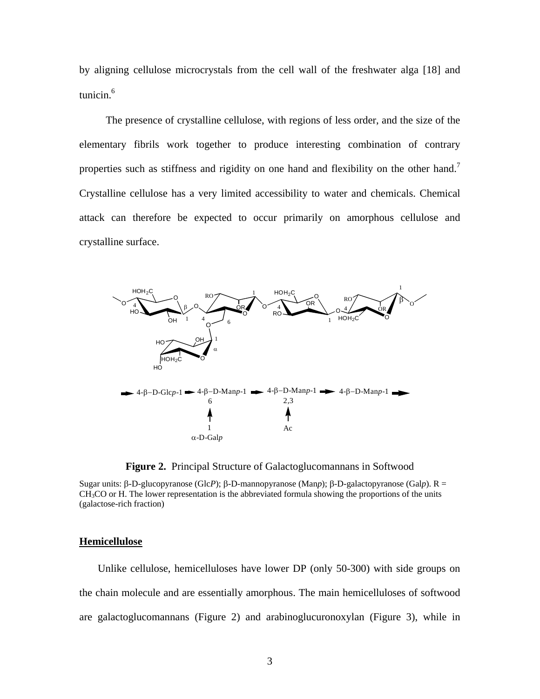by aligning cellulose microcrystals from the cell wall of the freshwater alga [18] and tunicin. $6$ 

 The presence of crystalline cellulose, with regions of less order, and the size of the elementary fibrils work together to produce interesting combination of contrary properties such as stiffness and rigidity on one hand and flexibility on the other hand.<sup>7</sup> Crystalline cellulose has a very limited accessibility to water and chemicals. Chemical attack can therefore be expected to occur primarily on amorphous cellulose and crystalline surface.



**Figure 2.** Principal Structure of Galactoglucomannans in Softwood

Sugar units: β-D-glucopyranose (Glc*P*); β-D-mannopyranose (Man*p*); β-D-galactopyranose (Gal*p*). R =  $CH<sub>3</sub>CO$  or H. The lower representation is the abbreviated formula showing the proportions of the units (galactose-rich fraction)

#### **Hemicellulose**

 Unlike cellulose, hemicelluloses have lower DP (only 50-300) with side groups on the chain molecule and are essentially amorphous. The main hemicelluloses of softwood are galactoglucomannans (Figure 2) and arabinoglucuronoxylan (Figure 3), while in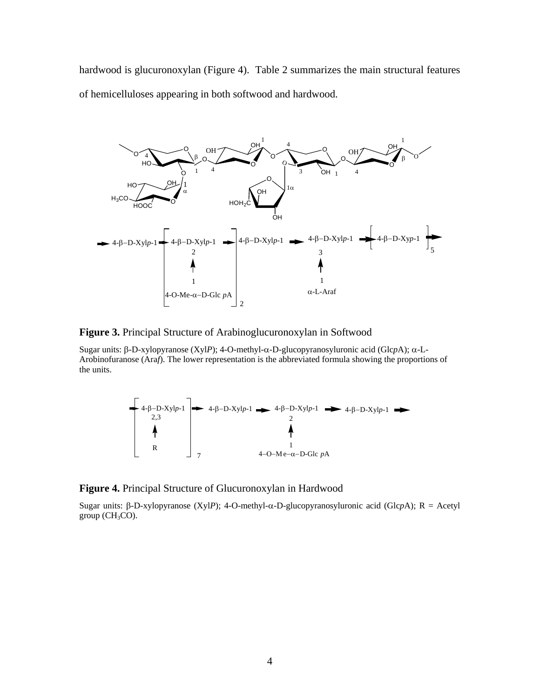hardwood is glucuronoxylan (Figure 4). Table 2 summarizes the main structural features of hemicelluloses appearing in both softwood and hardwood.



#### **Figure 3.** Principal Structure of Arabinoglucuronoxylan in Softwood

Sugar units: β-D-xylopyranose (Xyl*P*); 4-O-methyl-α-D-glucopyranosyluronic acid (Glc*p*A); α-L-Arobinofuranose (Ara*f*). The lower representation is the abbreviated formula showing the proportions of the units.



#### **Figure 4.** Principal Structure of Glucuronoxylan in Hardwood

Sugar units: β-D-xylopyranose (Xyl*P*); 4-O-methyl-α-D-glucopyranosyluronic acid (Glc*p*A); R = Acetyl group  $(CH_3CO)$ .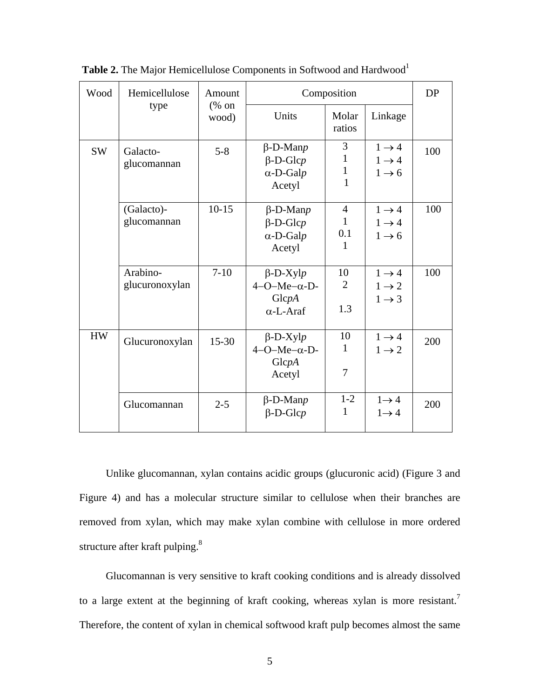| Wood      | Hemicellulose              | Amount                                    | Composition                                                         | <b>DP</b>                                  |                                                             |     |
|-----------|----------------------------|-------------------------------------------|---------------------------------------------------------------------|--------------------------------------------|-------------------------------------------------------------|-----|
|           | type                       | $(% \mathcal{L}_{0}^{\infty}$ on<br>wood) | Units                                                               | Molar<br>ratios                            | Linkage                                                     |     |
| <b>SW</b> | Galacto-<br>glucomannan    | $5 - 8$                                   | $\beta$ -D-Manp<br>$\beta$ -D-Glcp<br>$\alpha$ -D-Galp<br>Acetyl    | 3<br>1<br>1<br>1                           | $1 \rightarrow 4$<br>$1 \rightarrow 4$<br>$1 \rightarrow 6$ | 100 |
|           | (Galacto)-<br>glucomannan  | $10 - 15$                                 | $\beta$ -D-Man $p$<br>$\beta$ -D-Glcp<br>$\alpha$ -D-Galp<br>Acetyl | $\overline{4}$<br>$\mathbf{1}$<br>0.1<br>1 | $1 \rightarrow 4$<br>$1 \rightarrow 4$<br>$1 \rightarrow 6$ | 100 |
|           | Arabino-<br>glucuronoxylan | $7-10$                                    | $\beta$ -D-Xylp<br>$4-O-Me-\alpha-D$<br>GlcpA<br>$\alpha$ -L-Araf   | 10<br>2<br>1.3                             | $1 \rightarrow 4$<br>$1 \rightarrow 2$<br>$1 \rightarrow 3$ | 100 |
| <b>HW</b> | Glucuronoxylan             | $15 - 30$                                 | $\beta$ -D-Xylp<br>$4-O-Me-\alpha-D$ -<br>GlcpA<br>Acetyl           | 10<br>1<br>7                               | $1 \rightarrow 4$<br>$1 \rightarrow 2$                      | 200 |
|           | Glucomannan                | $2 - 5$                                   | $\beta$ -D-Manp<br>$\beta$ -D-Glcp                                  | $1-2$<br>1                                 | $1 \rightarrow 4$<br>$1 \rightarrow 4$                      | 200 |

Table 2. The Major Hemicellulose Components in Softwood and Hardwood<sup>1</sup>

 Unlike glucomannan, xylan contains acidic groups (glucuronic acid) (Figure 3 and Figure 4) and has a molecular structure similar to cellulose when their branches are removed from xylan, which may make xylan combine with cellulose in more ordered structure after kraft pulping.<sup>8</sup>

 Glucomannan is very sensitive to kraft cooking conditions and is already dissolved to a large extent at the beginning of kraft cooking, whereas xylan is more resistant.<sup>7</sup> Therefore, the content of xylan in chemical softwood kraft pulp becomes almost the same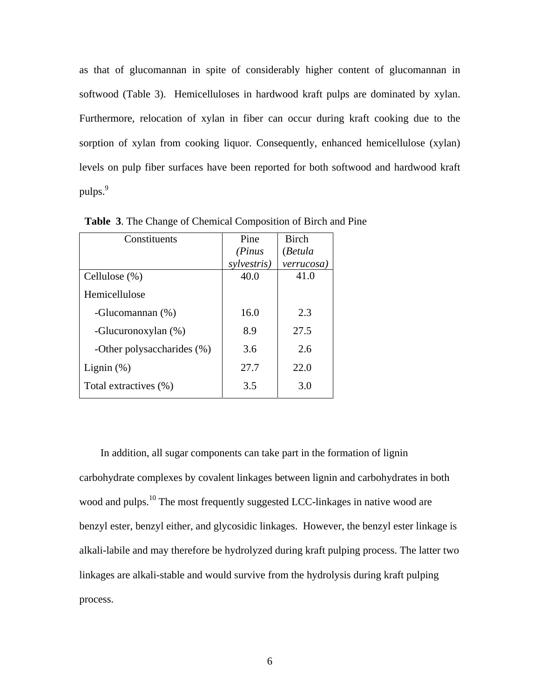as that of glucomannan in spite of considerably higher content of glucomannan in softwood (Table 3). Hemicelluloses in hardwood kraft pulps are dominated by xylan. Furthermore, relocation of xylan in fiber can occur during kraft cooking due to the sorption of xylan from cooking liquor. Consequently, enhanced hemicellulose (xylan) levels on pulp fiber surfaces have been reported for both softwood and hardwood kraft pulps.<sup>9</sup>

| Constituents               | Pine        | <b>Birch</b> |
|----------------------------|-------------|--------------|
|                            | (Pinus      | (Betula      |
|                            | sylvestris) | verrucosa)   |
| Cellulose $(\%)$           | 40.0        | 41.0         |
| Hemicellulose              |             |              |
| -Glucomannan (%)           | 16.0        | 2.3          |
| -Glucuronoxylan (%)        | 8.9         | 27.5         |
| -Other polysaccharides (%) | 3.6         | 2.6          |
| Lignin $(\%)$              | 27.7        | 22.0         |
| Total extractives (%)      | 3.5         | 3.0          |

 **Table 3**. The Change of Chemical Composition of Birch and Pine

 In addition, all sugar components can take part in the formation of lignin carbohydrate complexes by covalent linkages between lignin and carbohydrates in both wood and pulps.<sup>10</sup> The most frequently suggested LCC-linkages in native wood are benzyl ester, benzyl either, and glycosidic linkages. However, the benzyl ester linkage is alkali-labile and may therefore be hydrolyzed during kraft pulping process. The latter two linkages are alkali-stable and would survive from the hydrolysis during kraft pulping process.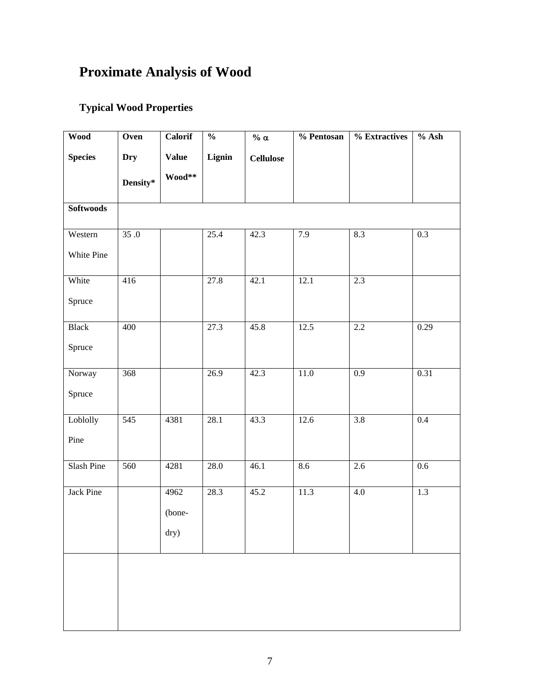# **Proximate Analysis of Wood**

## **Typical Wood Properties**

| <b>Wood</b>      | Oven       | Calorif      | $\frac{0}{0}$ | % $\alpha$       | % Pentosan | % Extractives | $%$ Ash          |
|------------------|------------|--------------|---------------|------------------|------------|---------------|------------------|
| <b>Species</b>   | <b>Dry</b> | <b>Value</b> | Lignin        | <b>Cellulose</b> |            |               |                  |
|                  | Density*   | Wood**       |               |                  |            |               |                  |
| <b>Softwoods</b> |            |              |               |                  |            |               |                  |
| Western          | 35.0       |              | 25.4          | 42.3             | 7.9        | 8.3           | 0.3              |
| White Pine       |            |              |               |                  |            |               |                  |
| White            | 416        |              | 27.8          | 42.1             | 12.1       | 2.3           |                  |
| Spruce           |            |              |               |                  |            |               |                  |
| <b>Black</b>     | 400        |              | 27.3          | 45.8             | 12.5       | 2.2           | 0.29             |
| Spruce           |            |              |               |                  |            |               |                  |
| Norway           | 368        |              | 26.9          | 42.3             | $11.0$     | 0.9           | 0.31             |
| Spruce           |            |              |               |                  |            |               |                  |
| Loblolly         | 545        | 4381         | 28.1          | 43.3             | 12.6       | 3.8           | $\overline{0.4}$ |
| Pine             |            |              |               |                  |            |               |                  |
| Slash Pine       | 560        | 4281         | 28.0          | 46.1             | 8.6        | 2.6           | 0.6              |
| Jack Pine        |            | 4962         | 28.3          | 45.2             | 11.3       | $4.0\,$       | 1.3              |
|                  |            | (bone-       |               |                  |            |               |                  |
|                  |            | dry)         |               |                  |            |               |                  |
|                  |            |              |               |                  |            |               |                  |
|                  |            |              |               |                  |            |               |                  |
|                  |            |              |               |                  |            |               |                  |
|                  |            |              |               |                  |            |               |                  |
|                  |            |              |               |                  |            |               |                  |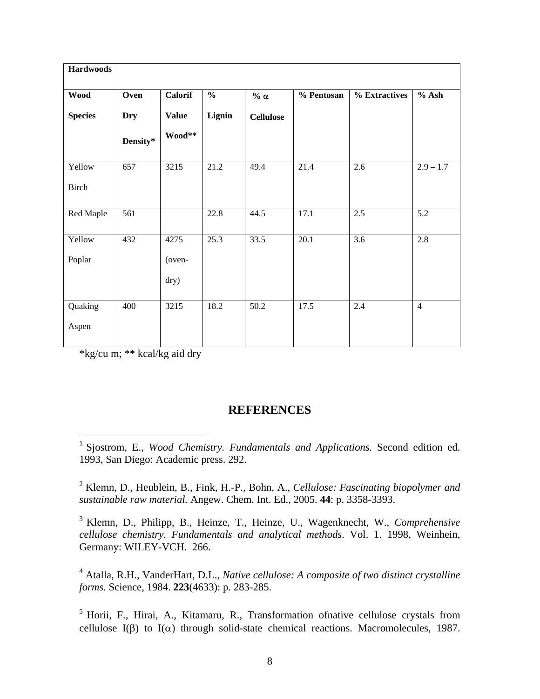| <b>Hardwoods</b> |                  |              |               |                  |            |                  |                        |
|------------------|------------------|--------------|---------------|------------------|------------|------------------|------------------------|
| <b>Wood</b>      | Oven             | Calorif      | $\frac{0}{0}$ | $\%$ $\alpha$    | % Pentosan | % Extractives    | $%$ Ash                |
| <b>Species</b>   | <b>Dry</b>       | <b>Value</b> | Lignin        | <b>Cellulose</b> |            |                  |                        |
|                  | Density*         | Wood**       |               |                  |            |                  |                        |
| Yellow           | $\overline{657}$ | 3215         | 21.2          | 49.4             | 21.4       | 2.6              | $\overline{2.9} - 1.7$ |
| <b>Birch</b>     |                  |              |               |                  |            |                  |                        |
| Red Maple        | 561              |              | 22.8          | 44.5             | 17.1       | 2.5              | 5.2                    |
| Yellow           | 432              | 4275         | 25.3          | 33.5             | 20.1       | $\overline{3.6}$ | 2.8                    |
| Poplar           |                  | (oven-       |               |                  |            |                  |                        |
|                  |                  | dry)         |               |                  |            |                  |                        |
| Quaking          | 400              | 3215         | 18.2          | 50.2             | 17.5       | 2.4              | $\overline{4}$         |
| Aspen            |                  |              |               |                  |            |                  |                        |

\*kg/cu m; \*\* kcal/kg aid dry

### **REFERENCES**

2 Klemn, D., Heublein, B., Fink, H.-P., Bohn, A., *Cellulose: Fascinating biopolymer and sustainable raw material.* Angew. Chem. Int. Ed., 2005. **44**: p. 3358-3393.

3 Klemn, D., Philipp, B., Heinze, T., Heinze, U., Wagenknecht, W., *Comprehensive cellulose chemistry. Fundamentals and analytical methods*. Vol. 1. 1998, Weinhein, Germany: WILEY-VCH. 266.

4 Atalla, R.H., VanderHart, D.L., *Native cellulose: A composite of two distinct crystalline forms.* Science, 1984. **223**(4633): p. 283-285.

<sup>5</sup> Horii, F., Hirai, A., Kitamaru, R., Transformation ofnative cellulose crystals from cellulose I(β) to I( $\alpha$ ) through solid-state chemical reactions. Macromolecules, 1987.

 1 Sjostrom, E., *Wood Chemistry. Fundamentals and Applications.* Second edition ed. 1993, San Diego: Academic press. 292.